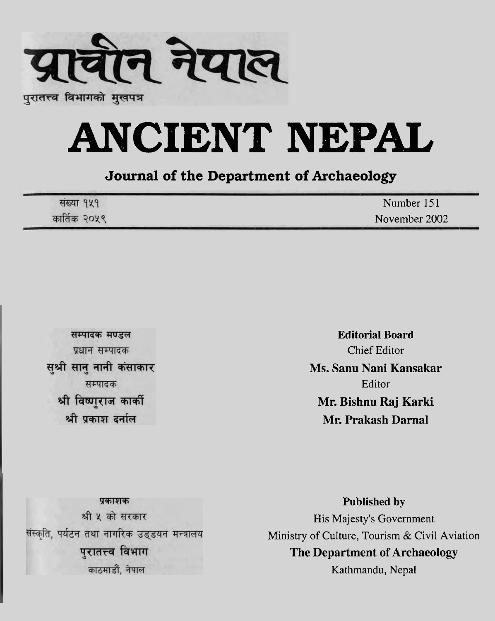

# **ANCIENT NEPAL**

#### **Journal of the Department of Archaeology**

| संख्या १५१   | Number 151    |
|--------------|---------------|
| कार्तिक २०५९ | November 2002 |

सम्पादक मण्डल प्रधान सम्पादक सुश्री सानु नानी कंसाकार सम्पादक श्री विष्णराज कार्की श्री प्रकाश दर्नाल

**Editorial Board**  Chief Editor **Ms. Sanu Nani Kansakar**  Editor **Mr. Bishnu Raj Karki Mr. Prakash Darnal** 

प्रकाशक श्री ५ को सरकार संस्कृति, पर्यटन तथा नागरिक उड्डयन मन्त्रालय पुरातत्त्व विभाग काठमाडौँ, नेपाल

**Published by**  His Majesty's Government Ministry of Culture, Tourism & Civil Aviation **The Department of Archaeology**  Kathmandu, Nepal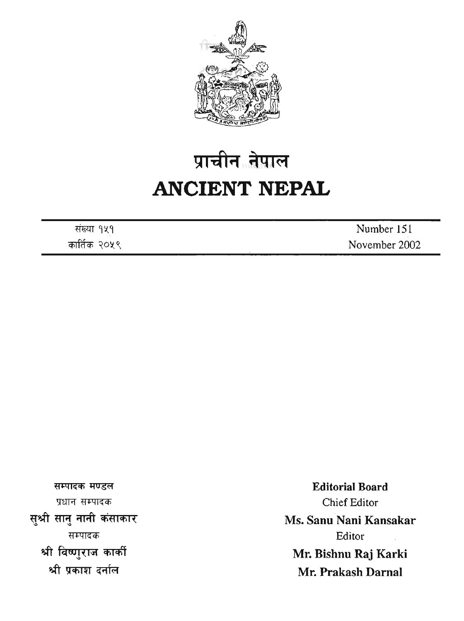

# प्राचीन नेपाल **ANCIENT NEPAL**

संख्या १५१ कार्तिक २०५९

Number 15 1 November 2002

सम्पादक मण्डल प्रधान सम्पादक सुश्री सानु नानी कंसाकार सम्पादक श्री विष्णुराज कार्की श्री प्रकाश दर्नाल

**Editorial Board**  Chief Editor **Ms. Sanu Nani Kansakar**  Editor **Mr. Bishnu Raj Karki Mr. Prakash Darnal**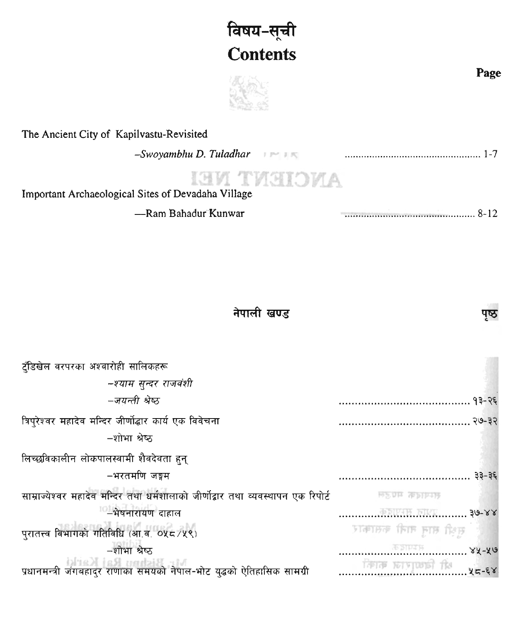### विषय-सूची **Contents**



#### **The Ancient City of Kapilvastu-Revisited**

-Swoyamblu D. Tuladhar **Figure 1998** *CONDUCT 1.1. CONDUCT 1.1. CONDUCT 1.1. CONDUCT 1.1. CONDUCT 1.1. CONDUCT 1.1. CONDUCT 1.1. CONDUCT 1.1. CONDUCT 1.1. CONDUCT 1.1. CONDUCT 1.1.* 

## **ANCIENT NEI**

**Important Archaeological Sites of Devadaha Village** 

| -Ram Bahadur Kunwar |  |
|---------------------|--|
|                     |  |

#### नेपाली खण्ड

| ट्रँडिखेल वरपरका अश्वारोही सालिकहरू                                               |                        |
|-----------------------------------------------------------------------------------|------------------------|
| -श्याम सुन्दर राजवंशी                                                             |                        |
| –जयन्ती श्रेष्ठ                                                                   |                        |
| त्रिप्रेश्वर महादेव मन्दिर जीर्णोद्धार कार्य एक विवेचना                           |                        |
| –शोभा श्रेष्ठ                                                                     |                        |
| लिच्छविकालीन लोकपालस्वामी शैवदेवता हुन्                                           |                        |
| −भरतमणि जङ्गम                                                                     | ३३-३६                  |
| साम्राज्येश्वर महादेव मन्दिर तथा धर्मशालाको जीर्णोद्वार तथा व्यवस्थापन एक रिपोर्ट | <b>MAIL WORKS</b>      |
| −भेषनारायण दाहाल                                                                  | $30-88$                |
| पुरातत्त्व विभागको गतिविधि (आ.व. ०५८/५९)                                          | सक्षी सामु नानी कसाकार |
| -शोभा श्रेष्ठ                                                                     |                        |
| ,<br>प्रधानमन्त्री जंगबहादुर राणाका समयको नेपाल-भोट युद्धको ऐतिहासिक सामग्री      | $F = \frac{1}{2}$      |

**Page** 

पष्ठ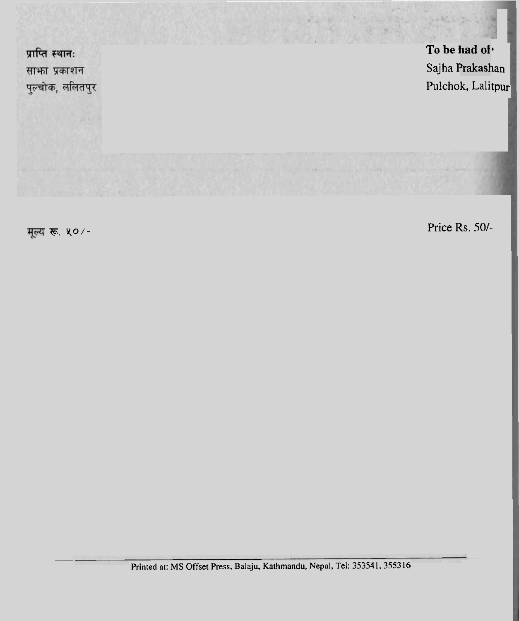

**F. X0/-** Price Rs. *501-*